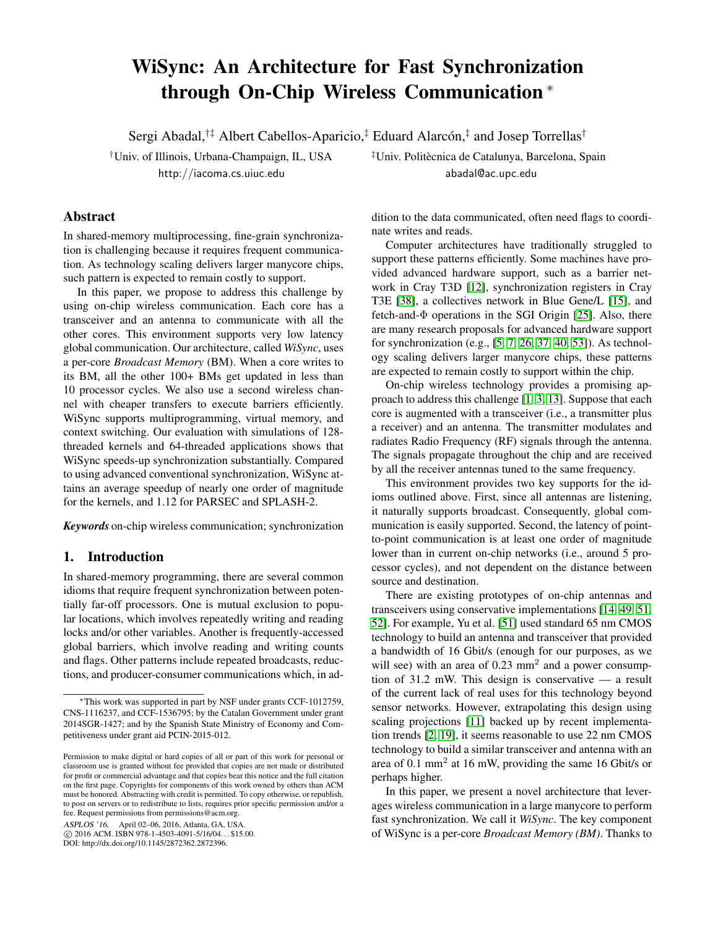# WiSync: An Architecture for Fast Synchronization through On-Chip Wireless Communication <sup>∗</sup>

Sergi Abadal,<sup>†‡</sup> Albert Cabellos-Aparicio,<sup>‡</sup> Eduard Alarcón,<sup>‡</sup> and Josep Torrellas<sup>†</sup>

†Univ. of Illinois, Urbana-Champaign, IL, USA ‡Univ. Politecnica de Catalunya, Barcelona, Spain ` http://iacoma.cs.uiuc.edu abadal@ac.upc.edu

# Abstract

In shared-memory multiprocessing, fine-grain synchronization is challenging because it requires frequent communication. As technology scaling delivers larger manycore chips, such pattern is expected to remain costly to support.

In this paper, we propose to address this challenge by using on-chip wireless communication. Each core has a transceiver and an antenna to communicate with all the other cores. This environment supports very low latency global communication. Our architecture, called *WiSync*, uses a per-core *Broadcast Memory* (BM). When a core writes to its BM, all the other 100+ BMs get updated in less than 10 processor cycles. We also use a second wireless channel with cheaper transfers to execute barriers efficiently. WiSync supports multiprogramming, virtual memory, and context switching. Our evaluation with simulations of 128 threaded kernels and 64-threaded applications shows that WiSync speeds-up synchronization substantially. Compared to using advanced conventional synchronization, WiSync attains an average speedup of nearly one order of magnitude for the kernels, and 1.12 for PARSEC and SPLASH-2.

*Keywords* on-chip wireless communication; synchronization

# 1. Introduction

In shared-memory programming, there are several common idioms that require frequent synchronization between potentially far-off processors. One is mutual exclusion to popular locations, which involves repeatedly writing and reading locks and/or other variables. Another is frequently-accessed global barriers, which involve reading and writing counts and flags. Other patterns include repeated broadcasts, reductions, and producer-consumer communications which, in ad-

ASPLOS '16, April 02–06, 2016, Atlanta, GA, USA.

c 2016 ACM. ISBN 978-1-4503-4091-5/16/04. . . \$15.00.

DOI: http://dx.doi.org/10.1145/2872362.2872396.

dition to the data communicated, often need flags to coordinate writes and reads.

Computer architectures have traditionally struggled to support these patterns efficiently. Some machines have provided advanced hardware support, such as a barrier network in Cray T3D [\[12\]](#page-12-0), synchronization registers in Cray T3E [\[38\]](#page-13-0), a collectives network in Blue Gene/L [\[15\]](#page-12-1), and fetch-and-Φ operations in the SGI Origin [\[25\]](#page-12-2). Also, there are many research proposals for advanced hardware support for synchronization (e.g., [\[5,](#page-12-3) [7,](#page-12-4) [26,](#page-13-1) [37,](#page-13-2) [40,](#page-13-3) [53\]](#page-14-0)). As technology scaling delivers larger manycore chips, these patterns are expected to remain costly to support within the chip.

On-chip wireless technology provides a promising approach to address this challenge [\[1,](#page-12-5) [3,](#page-12-6) [13\]](#page-12-7). Suppose that each core is augmented with a transceiver (i.e., a transmitter plus a receiver) and an antenna. The transmitter modulates and radiates Radio Frequency (RF) signals through the antenna. The signals propagate throughout the chip and are received by all the receiver antennas tuned to the same frequency.

This environment provides two key supports for the idioms outlined above. First, since all antennas are listening, it naturally supports broadcast. Consequently, global communication is easily supported. Second, the latency of pointto-point communication is at least one order of magnitude lower than in current on-chip networks (i.e., around 5 processor cycles), and not dependent on the distance between source and destination.

There are existing prototypes of on-chip antennas and transceivers using conservative implementations [\[14,](#page-12-8) [49,](#page-13-4) [51,](#page-13-5) [52\]](#page-14-1). For example, Yu et al. [\[51\]](#page-13-5) used standard 65 nm CMOS technology to build an antenna and transceiver that provided a bandwidth of 16 Gbit/s (enough for our purposes, as we will see) with an area of  $0.23 \text{ mm}^2$  and a power consumption of 31.2 mW. This design is conservative — a result of the current lack of real uses for this technology beyond sensor networks. However, extrapolating this design using scaling projections [\[11\]](#page-12-9) backed up by recent implementation trends [\[2,](#page-12-10) [19\]](#page-12-11), it seems reasonable to use 22 nm CMOS technology to build a similar transceiver and antenna with an area of 0.1 mm<sup>2</sup> at 16 mW, providing the same 16 Gbit/s or perhaps higher.

In this paper, we present a novel architecture that leverages wireless communication in a large manycore to perform fast synchronization. We call it *WiSync*. The key component of WiSync is a per-core *Broadcast Memory (BM)*. Thanks to

<sup>∗</sup>This work was supported in part by NSF under grants CCF-1012759, CNS-1116237, and CCF-1536795; by the Catalan Government under grant 2014SGR-1427; and by the Spanish State Ministry of Economy and Competitiveness under grant aid PCIN-2015-012.

Permission to make digital or hard copies of all or part of this work for personal or classroom use is granted without fee provided that copies are not made or distributed for profit or commercial advantage and that copies bear this notice and the full citation on the first page. Copyrights for components of this work owned by others than ACM must be honored. Abstracting with credit is permitted. To copy otherwise, or republish, to post on servers or to redistribute to lists, requires prior specific permission and/or a fee. Request permissions from permissions@acm.org.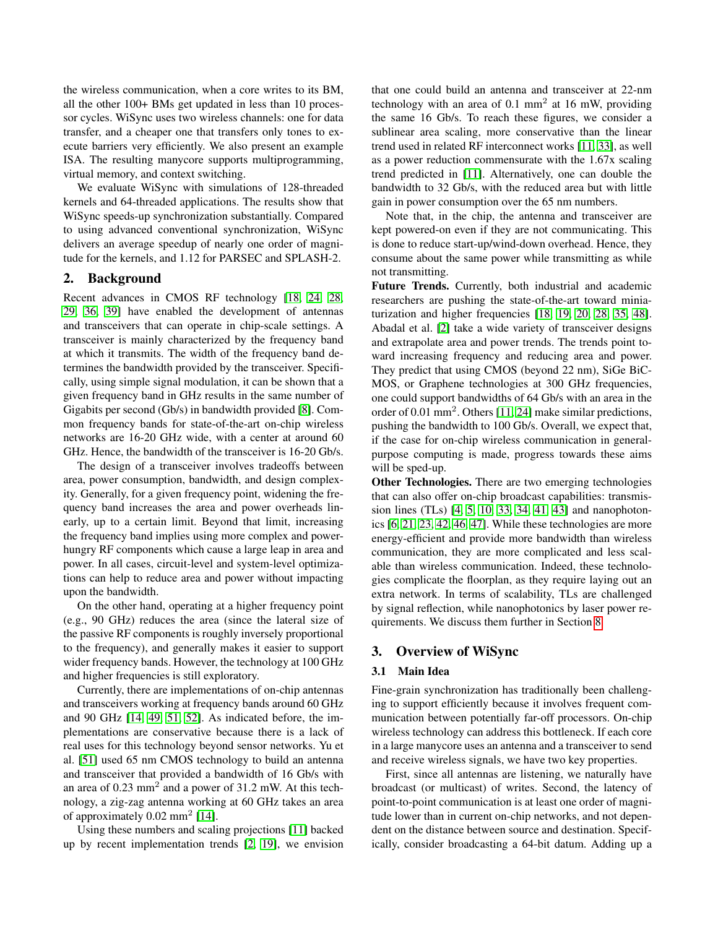the wireless communication, when a core writes to its BM, all the other 100+ BMs get updated in less than 10 processor cycles. WiSync uses two wireless channels: one for data transfer, and a cheaper one that transfers only tones to execute barriers very efficiently. We also present an example ISA. The resulting manycore supports multiprogramming, virtual memory, and context switching.

We evaluate WiSync with simulations of 128-threaded kernels and 64-threaded applications. The results show that WiSync speeds-up synchronization substantially. Compared to using advanced conventional synchronization, WiSync delivers an average speedup of nearly one order of magnitude for the kernels, and 1.12 for PARSEC and SPLASH-2.

# <span id="page-1-0"></span>2. Background

Recent advances in CMOS RF technology [\[18,](#page-12-12) [24,](#page-12-13) [28,](#page-13-6) [29,](#page-13-7) [36,](#page-13-8) [39\]](#page-13-9) have enabled the development of antennas and transceivers that can operate in chip-scale settings. A transceiver is mainly characterized by the frequency band at which it transmits. The width of the frequency band determines the bandwidth provided by the transceiver. Specifically, using simple signal modulation, it can be shown that a given frequency band in GHz results in the same number of Gigabits per second (Gb/s) in bandwidth provided [\[8\]](#page-12-14). Common frequency bands for state-of-the-art on-chip wireless networks are 16-20 GHz wide, with a center at around 60 GHz. Hence, the bandwidth of the transceiver is 16-20 Gb/s.

The design of a transceiver involves tradeoffs between area, power consumption, bandwidth, and design complexity. Generally, for a given frequency point, widening the frequency band increases the area and power overheads linearly, up to a certain limit. Beyond that limit, increasing the frequency band implies using more complex and powerhungry RF components which cause a large leap in area and power. In all cases, circuit-level and system-level optimizations can help to reduce area and power without impacting upon the bandwidth.

On the other hand, operating at a higher frequency point (e.g., 90 GHz) reduces the area (since the lateral size of the passive RF components is roughly inversely proportional to the frequency), and generally makes it easier to support wider frequency bands. However, the technology at 100 GHz and higher frequencies is still exploratory.

Currently, there are implementations of on-chip antennas and transceivers working at frequency bands around 60 GHz and 90 GHz [\[14,](#page-12-8) [49,](#page-13-4) [51,](#page-13-5) [52\]](#page-14-1). As indicated before, the implementations are conservative because there is a lack of real uses for this technology beyond sensor networks. Yu et al. [\[51\]](#page-13-5) used 65 nm CMOS technology to build an antenna and transceiver that provided a bandwidth of 16 Gb/s with an area of  $0.23 \text{ mm}^2$  and a power of  $31.2 \text{ mW}$ . At this technology, a zig-zag antenna working at 60 GHz takes an area of approximately  $0.02$  mm<sup>2</sup> [\[14\]](#page-12-8).

Using these numbers and scaling projections [\[11\]](#page-12-9) backed up by recent implementation trends [\[2,](#page-12-10) [19\]](#page-12-11), we envision that one could build an antenna and transceiver at 22-nm technology with an area of 0.1 mm<sup>2</sup> at 16 mW, providing the same 16 Gb/s. To reach these figures, we consider a sublinear area scaling, more conservative than the linear trend used in related RF interconnect works [\[11,](#page-12-9) [33\]](#page-13-10), as well as a power reduction commensurate with the 1.67x scaling trend predicted in [\[11\]](#page-12-9). Alternatively, one can double the bandwidth to 32 Gb/s, with the reduced area but with little gain in power consumption over the 65 nm numbers.

Note that, in the chip, the antenna and transceiver are kept powered-on even if they are not communicating. This is done to reduce start-up/wind-down overhead. Hence, they consume about the same power while transmitting as while not transmitting.

Future Trends. Currently, both industrial and academic researchers are pushing the state-of-the-art toward miniaturization and higher frequencies [\[18,](#page-12-12) [19,](#page-12-11) [20,](#page-12-15) [28,](#page-13-6) [35,](#page-13-11) [48\]](#page-13-12). Abadal et al. [\[2\]](#page-12-10) take a wide variety of transceiver designs and extrapolate area and power trends. The trends point toward increasing frequency and reducing area and power. They predict that using CMOS (beyond 22 nm), SiGe BiC-MOS, or Graphene technologies at 300 GHz frequencies, one could support bandwidths of 64 Gb/s with an area in the order of  $0.01 \text{ mm}^2$ . Others [\[11,](#page-12-9) [24\]](#page-12-13) make similar predictions, pushing the bandwidth to 100 Gb/s. Overall, we expect that, if the case for on-chip wireless communication in generalpurpose computing is made, progress towards these aims will be sped-up.

Other Technologies. There are two emerging technologies that can also offer on-chip broadcast capabilities: transmission lines (TLs) [\[4,](#page-12-16) [5,](#page-12-3) [10,](#page-12-17) [33,](#page-13-10) [34,](#page-13-13) [41,](#page-13-14) [43\]](#page-13-15) and nanophotonics [\[6,](#page-12-18) [21,](#page-12-19) [23,](#page-12-20) [42,](#page-13-16) [46,](#page-13-17) [47\]](#page-13-18). While these technologies are more energy-efficient and provide more bandwidth than wireless communication, they are more complicated and less scalable than wireless communication. Indeed, these technologies complicate the floorplan, as they require laying out an extra network. In terms of scalability, TLs are challenged by signal reflection, while nanophotonics by laser power requirements. We discuss them further in Section [8.](#page-11-0)

# 3. Overview of WiSync

# 3.1 Main Idea

Fine-grain synchronization has traditionally been challenging to support efficiently because it involves frequent communication between potentially far-off processors. On-chip wireless technology can address this bottleneck. If each core in a large manycore uses an antenna and a transceiver to send and receive wireless signals, we have two key properties.

First, since all antennas are listening, we naturally have broadcast (or multicast) of writes. Second, the latency of point-to-point communication is at least one order of magnitude lower than in current on-chip networks, and not dependent on the distance between source and destination. Specifically, consider broadcasting a 64-bit datum. Adding up a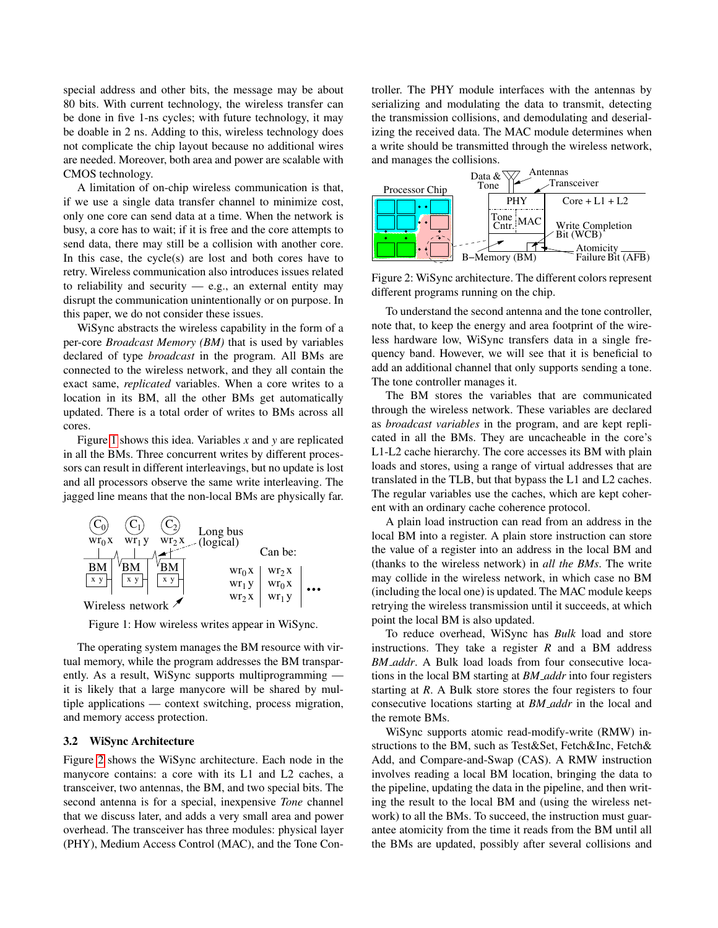special address and other bits, the message may be about 80 bits. With current technology, the wireless transfer can be done in five 1-ns cycles; with future technology, it may be doable in 2 ns. Adding to this, wireless technology does not complicate the chip layout because no additional wires are needed. Moreover, both area and power are scalable with CMOS technology.

A limitation of on-chip wireless communication is that, if we use a single data transfer channel to minimize cost, only one core can send data at a time. When the network is busy, a core has to wait; if it is free and the core attempts to send data, there may still be a collision with another core. In this case, the cycle(s) are lost and both cores have to retry. Wireless communication also introduces issues related to reliability and security  $-$  e.g., an external entity may disrupt the communication unintentionally or on purpose. In this paper, we do not consider these issues.

WiSync abstracts the wireless capability in the form of a per-core *Broadcast Memory (BM)* that is used by variables declared of type *broadcast* in the program. All BMs are connected to the wireless network, and they all contain the exact same, *replicated* variables. When a core writes to a location in its BM, all the other BMs get automatically updated. There is a total order of writes to BMs across all cores.

Figure [1](#page-2-0) shows this idea. Variables *x* and *y* are replicated in all the BMs. Three concurrent writes by different processors can result in different interleavings, but no update is lost and all processors observe the same write interleaving. The jagged line means that the non-local BMs are physically far.



Figure 1: How wireless writes appear in WiSync.

The operating system manages the BM resource with virtual memory, while the program addresses the BM transparently. As a result, WiSync supports multiprogramming it is likely that a large manycore will be shared by multiple applications — context switching, process migration, and memory access protection.

# 3.2 WiSync Architecture

Figure [2](#page-2-1) shows the WiSync architecture. Each node in the manycore contains: a core with its L1 and L2 caches, a transceiver, two antennas, the BM, and two special bits. The second antenna is for a special, inexpensive *Tone* channel that we discuss later, and adds a very small area and power overhead. The transceiver has three modules: physical layer (PHY), Medium Access Control (MAC), and the Tone Controller. The PHY module interfaces with the antennas by serializing and modulating the data to transmit, detecting the transmission collisions, and demodulating and deserializing the received data. The MAC module determines when a write should be transmitted through the wireless network, and manages the collisions.



<span id="page-2-1"></span>Figure 2: WiSync architecture. The different colors represent different programs running on the chip.

To understand the second antenna and the tone controller, note that, to keep the energy and area footprint of the wireless hardware low, WiSync transfers data in a single frequency band. However, we will see that it is beneficial to add an additional channel that only supports sending a tone. The tone controller manages it.

The BM stores the variables that are communicated through the wireless network. These variables are declared as *broadcast variables* in the program, and are kept replicated in all the BMs. They are uncacheable in the core's L1-L2 cache hierarchy. The core accesses its BM with plain loads and stores, using a range of virtual addresses that are translated in the TLB, but that bypass the L1 and L2 caches. The regular variables use the caches, which are kept coherent with an ordinary cache coherence protocol.

A plain load instruction can read from an address in the local BM into a register. A plain store instruction can store the value of a register into an address in the local BM and (thanks to the wireless network) in *all the BMs*. The write may collide in the wireless network, in which case no BM (including the local one) is updated. The MAC module keeps retrying the wireless transmission until it succeeds, at which point the local BM is also updated.

<span id="page-2-0"></span>To reduce overhead, WiSync has *Bulk* load and store instructions. They take a register *R* and a BM address *BM addr*. A Bulk load loads from four consecutive locations in the local BM starting at *BM addr* into four registers starting at *R*. A Bulk store stores the four registers to four consecutive locations starting at *BM addr* in the local and the remote BMs.

WiSync supports atomic read-modify-write (RMW) instructions to the BM, such as Test&Set, Fetch&Inc, Fetch& Add, and Compare-and-Swap (CAS). A RMW instruction involves reading a local BM location, bringing the data to the pipeline, updating the data in the pipeline, and then writing the result to the local BM and (using the wireless network) to all the BMs. To succeed, the instruction must guarantee atomicity from the time it reads from the BM until all the BMs are updated, possibly after several collisions and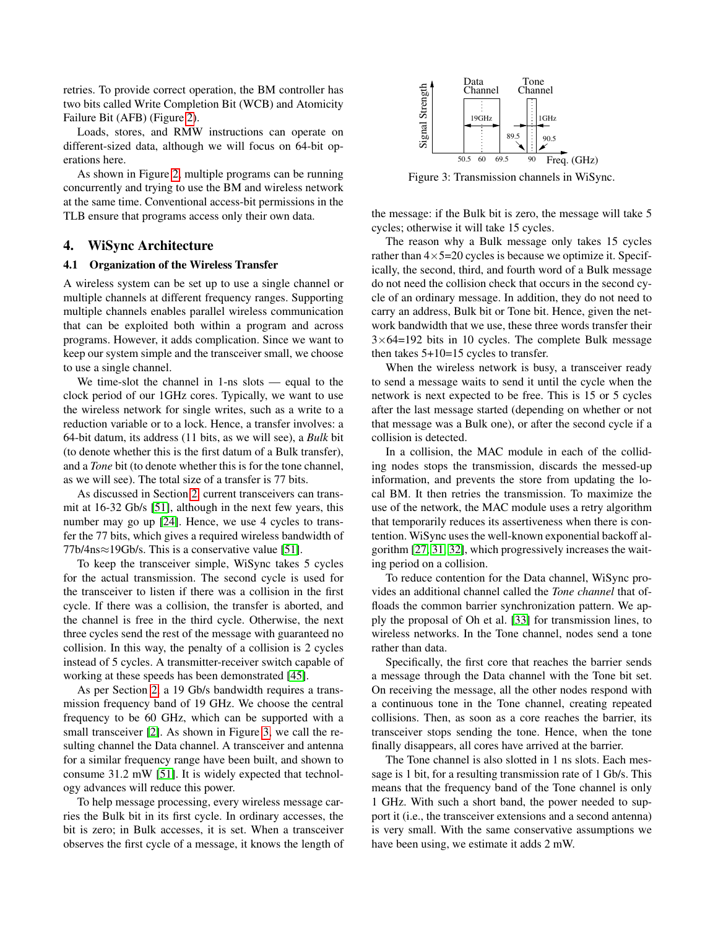retries. To provide correct operation, the BM controller has two bits called Write Completion Bit (WCB) and Atomicity Failure Bit (AFB) (Figure [2\)](#page-2-1).

Loads, stores, and RMW instructions can operate on different-sized data, although we will focus on 64-bit operations here.

As shown in Figure [2,](#page-2-1) multiple programs can be running concurrently and trying to use the BM and wireless network at the same time. Conventional access-bit permissions in the TLB ensure that programs access only their own data.

## 4. WiSync Architecture

#### 4.1 Organization of the Wireless Transfer

A wireless system can be set up to use a single channel or multiple channels at different frequency ranges. Supporting multiple channels enables parallel wireless communication that can be exploited both within a program and across programs. However, it adds complication. Since we want to keep our system simple and the transceiver small, we choose to use a single channel.

We time-slot the channel in 1-ns slots — equal to the clock period of our 1GHz cores. Typically, we want to use the wireless network for single writes, such as a write to a reduction variable or to a lock. Hence, a transfer involves: a 64-bit datum, its address (11 bits, as we will see), a *Bulk* bit (to denote whether this is the first datum of a Bulk transfer), and a *Tone* bit (to denote whether this is for the tone channel, as we will see). The total size of a transfer is 77 bits.

As discussed in Section [2,](#page-1-0) current transceivers can transmit at 16-32 Gb/s [\[51\]](#page-13-5), although in the next few years, this number may go up [\[24\]](#page-12-13). Hence, we use 4 cycles to transfer the 77 bits, which gives a required wireless bandwidth of 77b/4ns≈19Gb/s. This is a conservative value [\[51\]](#page-13-5).

To keep the transceiver simple, WiSync takes 5 cycles for the actual transmission. The second cycle is used for the transceiver to listen if there was a collision in the first cycle. If there was a collision, the transfer is aborted, and the channel is free in the third cycle. Otherwise, the next three cycles send the rest of the message with guaranteed no collision. In this way, the penalty of a collision is 2 cycles instead of 5 cycles. A transmitter-receiver switch capable of working at these speeds has been demonstrated [\[45\]](#page-13-19).

As per Section [2,](#page-1-0) a 19 Gb/s bandwidth requires a transmission frequency band of 19 GHz. We choose the central frequency to be 60 GHz, which can be supported with a small transceiver [\[2\]](#page-12-10). As shown in Figure [3,](#page-3-0) we call the resulting channel the Data channel. A transceiver and antenna for a similar frequency range have been built, and shown to consume 31.2 mW [\[51\]](#page-13-5). It is widely expected that technology advances will reduce this power.

To help message processing, every wireless message carries the Bulk bit in its first cycle. In ordinary accesses, the bit is zero; in Bulk accesses, it is set. When a transceiver observes the first cycle of a message, it knows the length of



<span id="page-3-0"></span>Figure 3: Transmission channels in WiSync.

the message: if the Bulk bit is zero, the message will take 5 cycles; otherwise it will take 15 cycles.

The reason why a Bulk message only takes 15 cycles rather than  $4 \times 5=20$  cycles is because we optimize it. Specifically, the second, third, and fourth word of a Bulk message do not need the collision check that occurs in the second cycle of an ordinary message. In addition, they do not need to carry an address, Bulk bit or Tone bit. Hence, given the network bandwidth that we use, these three words transfer their  $3\times64=192$  bits in 10 cycles. The complete Bulk message then takes 5+10=15 cycles to transfer.

When the wireless network is busy, a transceiver ready to send a message waits to send it until the cycle when the network is next expected to be free. This is 15 or 5 cycles after the last message started (depending on whether or not that message was a Bulk one), or after the second cycle if a collision is detected.

In a collision, the MAC module in each of the colliding nodes stops the transmission, discards the messed-up information, and prevents the store from updating the local BM. It then retries the transmission. To maximize the use of the network, the MAC module uses a retry algorithm that temporarily reduces its assertiveness when there is contention. WiSync uses the well-known exponential backoff algorithm [\[27,](#page-13-20) [31,](#page-13-21) [32\]](#page-13-22), which progressively increases the waiting period on a collision.

To reduce contention for the Data channel, WiSync provides an additional channel called the *Tone channel* that offloads the common barrier synchronization pattern. We apply the proposal of Oh et al. [\[33\]](#page-13-10) for transmission lines, to wireless networks. In the Tone channel, nodes send a tone rather than data.

Specifically, the first core that reaches the barrier sends a message through the Data channel with the Tone bit set. On receiving the message, all the other nodes respond with a continuous tone in the Tone channel, creating repeated collisions. Then, as soon as a core reaches the barrier, its transceiver stops sending the tone. Hence, when the tone finally disappears, all cores have arrived at the barrier.

The Tone channel is also slotted in 1 ns slots. Each message is 1 bit, for a resulting transmission rate of 1 Gb/s. This means that the frequency band of the Tone channel is only 1 GHz. With such a short band, the power needed to support it (i.e., the transceiver extensions and a second antenna) is very small. With the same conservative assumptions we have been using, we estimate it adds 2 mW.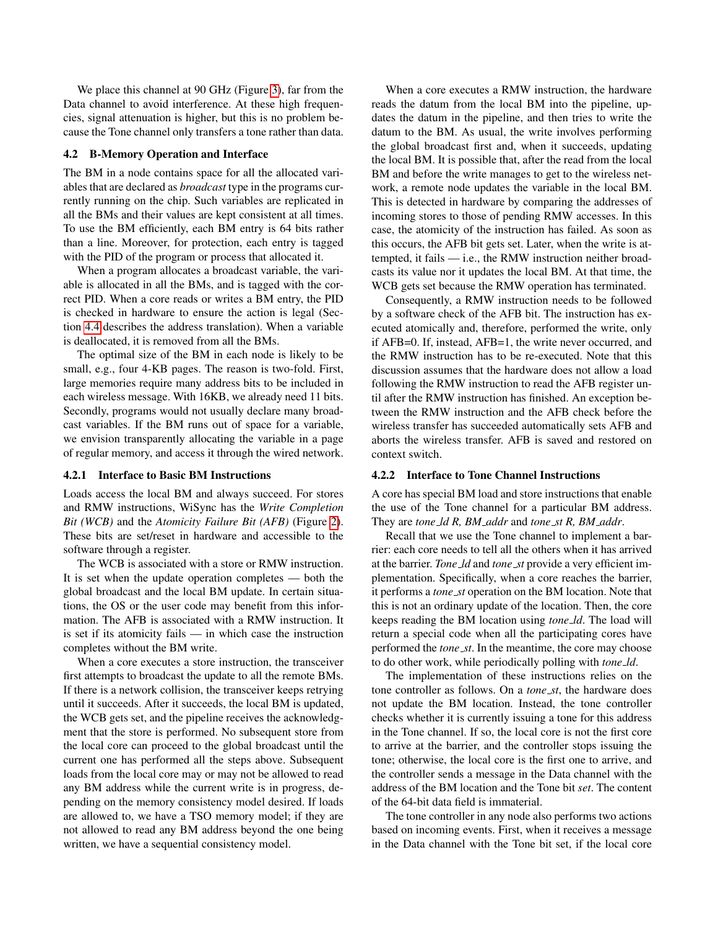We place this channel at 90 GHz (Figure [3\)](#page-3-0), far from the Data channel to avoid interference. At these high frequencies, signal attenuation is higher, but this is no problem because the Tone channel only transfers a tone rather than data.

## 4.2 B-Memory Operation and Interface

The BM in a node contains space for all the allocated variables that are declared as *broadcast* type in the programs currently running on the chip. Such variables are replicated in all the BMs and their values are kept consistent at all times. To use the BM efficiently, each BM entry is 64 bits rather than a line. Moreover, for protection, each entry is tagged with the PID of the program or process that allocated it.

When a program allocates a broadcast variable, the variable is allocated in all the BMs, and is tagged with the correct PID. When a core reads or writes a BM entry, the PID is checked in hardware to ensure the action is legal (Section [4.4](#page-6-0) describes the address translation). When a variable is deallocated, it is removed from all the BMs.

The optimal size of the BM in each node is likely to be small, e.g., four 4-KB pages. The reason is two-fold. First, large memories require many address bits to be included in each wireless message. With 16KB, we already need 11 bits. Secondly, programs would not usually declare many broadcast variables. If the BM runs out of space for a variable, we envision transparently allocating the variable in a page of regular memory, and access it through the wired network.

#### 4.2.1 Interface to Basic BM Instructions

Loads access the local BM and always succeed. For stores and RMW instructions, WiSync has the *Write Completion Bit (WCB)* and the *Atomicity Failure Bit (AFB)* (Figure [2\)](#page-2-1). These bits are set/reset in hardware and accessible to the software through a register.

The WCB is associated with a store or RMW instruction. It is set when the update operation completes — both the global broadcast and the local BM update. In certain situations, the OS or the user code may benefit from this information. The AFB is associated with a RMW instruction. It is set if its atomicity fails — in which case the instruction completes without the BM write.

When a core executes a store instruction, the transceiver first attempts to broadcast the update to all the remote BMs. If there is a network collision, the transceiver keeps retrying until it succeeds. After it succeeds, the local BM is updated, the WCB gets set, and the pipeline receives the acknowledgment that the store is performed. No subsequent store from the local core can proceed to the global broadcast until the current one has performed all the steps above. Subsequent loads from the local core may or may not be allowed to read any BM address while the current write is in progress, depending on the memory consistency model desired. If loads are allowed to, we have a TSO memory model; if they are not allowed to read any BM address beyond the one being written, we have a sequential consistency model.

When a core executes a RMW instruction, the hardware reads the datum from the local BM into the pipeline, updates the datum in the pipeline, and then tries to write the datum to the BM. As usual, the write involves performing the global broadcast first and, when it succeeds, updating the local BM. It is possible that, after the read from the local BM and before the write manages to get to the wireless network, a remote node updates the variable in the local BM. This is detected in hardware by comparing the addresses of incoming stores to those of pending RMW accesses. In this case, the atomicity of the instruction has failed. As soon as this occurs, the AFB bit gets set. Later, when the write is attempted, it fails — i.e., the RMW instruction neither broadcasts its value nor it updates the local BM. At that time, the WCB gets set because the RMW operation has terminated.

Consequently, a RMW instruction needs to be followed by a software check of the AFB bit. The instruction has executed atomically and, therefore, performed the write, only if AFB=0. If, instead, AFB=1, the write never occurred, and the RMW instruction has to be re-executed. Note that this discussion assumes that the hardware does not allow a load following the RMW instruction to read the AFB register until after the RMW instruction has finished. An exception between the RMW instruction and the AFB check before the wireless transfer has succeeded automatically sets AFB and aborts the wireless transfer. AFB is saved and restored on context switch.

# <span id="page-4-0"></span>4.2.2 Interface to Tone Channel Instructions

A core has special BM load and store instructions that enable the use of the Tone channel for a particular BM address. They are *tone ld R, BM addr* and *tone st R, BM addr*.

Recall that we use the Tone channel to implement a barrier: each core needs to tell all the others when it has arrived at the barrier. *Tone ld* and *tone st* provide a very efficient implementation. Specifically, when a core reaches the barrier, it performs a *tone st* operation on the BM location. Note that this is not an ordinary update of the location. Then, the core keeps reading the BM location using *tone ld*. The load will return a special code when all the participating cores have performed the *tone st*. In the meantime, the core may choose to do other work, while periodically polling with *tone ld*.

The implementation of these instructions relies on the tone controller as follows. On a *tone st*, the hardware does not update the BM location. Instead, the tone controller checks whether it is currently issuing a tone for this address in the Tone channel. If so, the local core is not the first core to arrive at the barrier, and the controller stops issuing the tone; otherwise, the local core is the first one to arrive, and the controller sends a message in the Data channel with the address of the BM location and the Tone bit *set*. The content of the 64-bit data field is immaterial.

The tone controller in any node also performs two actions based on incoming events. First, when it receives a message in the Data channel with the Tone bit set, if the local core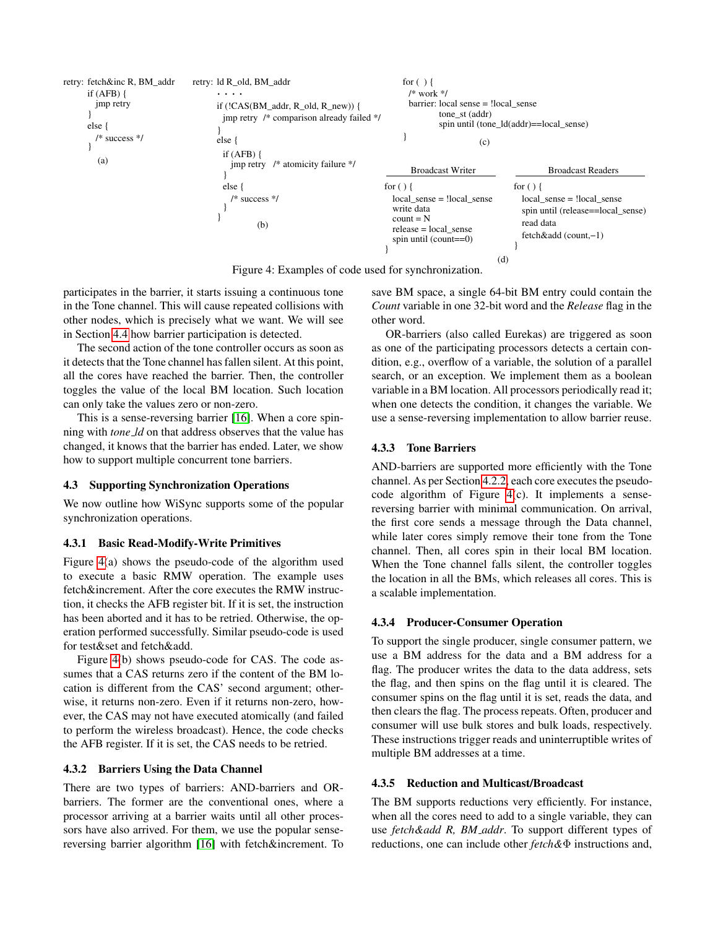

Figure 4: Examples of code used for synchronization.

participates in the barrier, it starts issuing a continuous tone in the Tone channel. This will cause repeated collisions with other nodes, which is precisely what we want. We will see in Section [4.4](#page-6-0) how barrier participation is detected.

The second action of the tone controller occurs as soon as it detects that the Tone channel has fallen silent. At this point, all the cores have reached the barrier. Then, the controller toggles the value of the local BM location. Such location can only take the values zero or non-zero.

This is a sense-reversing barrier [\[16\]](#page-12-21). When a core spinning with *tone ld* on that address observes that the value has changed, it knows that the barrier has ended. Later, we show how to support multiple concurrent tone barriers.

# 4.3 Supporting Synchronization Operations

We now outline how WiSync supports some of the popular synchronization operations.

#### 4.3.1 Basic Read-Modify-Write Primitives

Figure [4\(](#page-5-0)a) shows the pseudo-code of the algorithm used to execute a basic RMW operation. The example uses fetch&increment. After the core executes the RMW instruction, it checks the AFB register bit. If it is set, the instruction has been aborted and it has to be retried. Otherwise, the operation performed successfully. Similar pseudo-code is used for test&set and fetch&add.

Figure [4\(](#page-5-0)b) shows pseudo-code for CAS. The code assumes that a CAS returns zero if the content of the BM location is different from the CAS' second argument; otherwise, it returns non-zero. Even if it returns non-zero, however, the CAS may not have executed atomically (and failed to perform the wireless broadcast). Hence, the code checks the AFB register. If it is set, the CAS needs to be retried.

#### 4.3.2 Barriers Using the Data Channel

There are two types of barriers: AND-barriers and ORbarriers. The former are the conventional ones, where a processor arriving at a barrier waits until all other processors have also arrived. For them, we use the popular sensereversing barrier algorithm [\[16\]](#page-12-21) with fetch&increment. To

<span id="page-5-0"></span>save BM space, a single 64-bit BM entry could contain the *Count* variable in one 32-bit word and the *Release* flag in the other word.

OR-barriers (also called Eurekas) are triggered as soon as one of the participating processors detects a certain condition, e.g., overflow of a variable, the solution of a parallel search, or an exception. We implement them as a boolean variable in a BM location. All processors periodically read it; when one detects the condition, it changes the variable. We use a sense-reversing implementation to allow barrier reuse.

#### 4.3.3 Tone Barriers

AND-barriers are supported more efficiently with the Tone channel. As per Section [4.2.2,](#page-4-0) each core executes the pseudocode algorithm of Figure [4\(](#page-5-0)c). It implements a sensereversing barrier with minimal communication. On arrival, the first core sends a message through the Data channel, while later cores simply remove their tone from the Tone channel. Then, all cores spin in their local BM location. When the Tone channel falls silent, the controller toggles the location in all the BMs, which releases all cores. This is a scalable implementation.

# 4.3.4 Producer-Consumer Operation

To support the single producer, single consumer pattern, we use a BM address for the data and a BM address for a flag. The producer writes the data to the data address, sets the flag, and then spins on the flag until it is cleared. The consumer spins on the flag until it is set, reads the data, and then clears the flag. The process repeats. Often, producer and consumer will use bulk stores and bulk loads, respectively. These instructions trigger reads and uninterruptible writes of multiple BM addresses at a time.

# 4.3.5 Reduction and Multicast/Broadcast

The BM supports reductions very efficiently. For instance, when all the cores need to add to a single variable, they can use *fetch&add R, BM addr*. To support different types of reductions, one can include other *fetch&*Φ instructions and,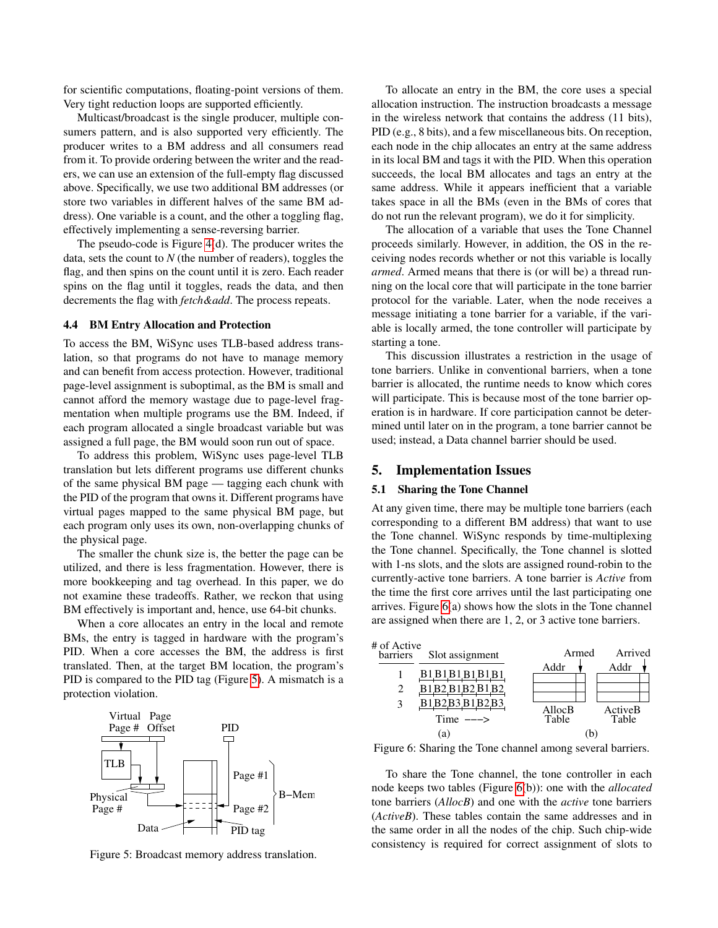for scientific computations, floating-point versions of them. Very tight reduction loops are supported efficiently.

Multicast/broadcast is the single producer, multiple consumers pattern, and is also supported very efficiently. The producer writes to a BM address and all consumers read from it. To provide ordering between the writer and the readers, we can use an extension of the full-empty flag discussed above. Specifically, we use two additional BM addresses (or store two variables in different halves of the same BM address). One variable is a count, and the other a toggling flag, effectively implementing a sense-reversing barrier.

The pseudo-code is Figure [4\(](#page-5-0)d). The producer writes the data, sets the count to *N* (the number of readers), toggles the flag, and then spins on the count until it is zero. Each reader spins on the flag until it toggles, reads the data, and then decrements the flag with *fetch&add*. The process repeats.

#### <span id="page-6-0"></span>4.4 BM Entry Allocation and Protection

To access the BM, WiSync uses TLB-based address translation, so that programs do not have to manage memory and can benefit from access protection. However, traditional page-level assignment is suboptimal, as the BM is small and cannot afford the memory wastage due to page-level fragmentation when multiple programs use the BM. Indeed, if each program allocated a single broadcast variable but was assigned a full page, the BM would soon run out of space.

To address this problem, WiSync uses page-level TLB translation but lets different programs use different chunks of the same physical BM page — tagging each chunk with the PID of the program that owns it. Different programs have virtual pages mapped to the same physical BM page, but each program only uses its own, non-overlapping chunks of the physical page.

The smaller the chunk size is, the better the page can be utilized, and there is less fragmentation. However, there is more bookkeeping and tag overhead. In this paper, we do not examine these tradeoffs. Rather, we reckon that using BM effectively is important and, hence, use 64-bit chunks.

When a core allocates an entry in the local and remote BMs, the entry is tagged in hardware with the program's PID. When a core accesses the BM, the address is first translated. Then, at the target BM location, the program's PID is compared to the PID tag (Figure [5\)](#page-6-1). A mismatch is a protection violation.



Figure 5: Broadcast memory address translation.

To allocate an entry in the BM, the core uses a special allocation instruction. The instruction broadcasts a message in the wireless network that contains the address (11 bits), PID (e.g., 8 bits), and a few miscellaneous bits. On reception, each node in the chip allocates an entry at the same address in its local BM and tags it with the PID. When this operation succeeds, the local BM allocates and tags an entry at the same address. While it appears inefficient that a variable takes space in all the BMs (even in the BMs of cores that do not run the relevant program), we do it for simplicity.

The allocation of a variable that uses the Tone Channel proceeds similarly. However, in addition, the OS in the receiving nodes records whether or not this variable is locally *armed*. Armed means that there is (or will be) a thread running on the local core that will participate in the tone barrier protocol for the variable. Later, when the node receives a message initiating a tone barrier for a variable, if the variable is locally armed, the tone controller will participate by starting a tone.

This discussion illustrates a restriction in the usage of tone barriers. Unlike in conventional barriers, when a tone barrier is allocated, the runtime needs to know which cores will participate. This is because most of the tone barrier operation is in hardware. If core participation cannot be determined until later on in the program, a tone barrier cannot be used; instead, a Data channel barrier should be used.

# 5. Implementation Issues

# 5.1 Sharing the Tone Channel

At any given time, there may be multiple tone barriers (each corresponding to a different BM address) that want to use the Tone channel. WiSync responds by time-multiplexing the Tone channel. Specifically, the Tone channel is slotted with 1-ns slots, and the slots are assigned round-robin to the currently-active tone barriers. A tone barrier is *Active* from the time the first core arrives until the last participating one arrives. Figure [6\(](#page-6-2)a) shows how the slots in the Tone channel are assigned when there are 1, 2, or 3 active tone barriers.



<span id="page-6-2"></span>Figure 6: Sharing the Tone channel among several barriers.

<span id="page-6-1"></span>To share the Tone channel, the tone controller in each node keeps two tables (Figure [6\(](#page-6-2)b)): one with the *allocated* tone barriers (*AllocB*) and one with the *active* tone barriers (*ActiveB*). These tables contain the same addresses and in the same order in all the nodes of the chip. Such chip-wide consistency is required for correct assignment of slots to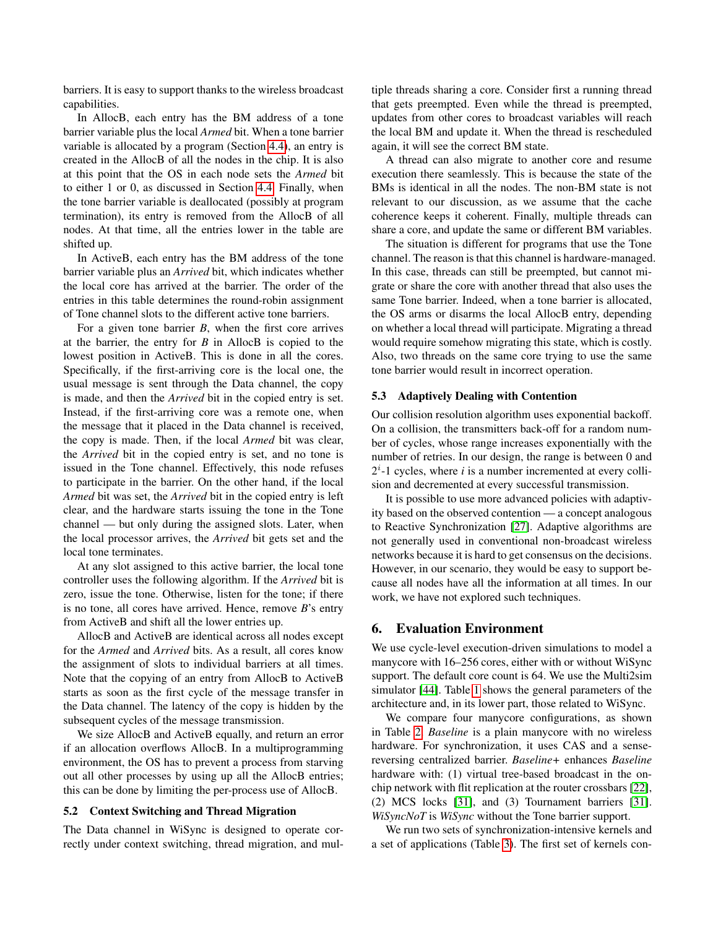barriers. It is easy to support thanks to the wireless broadcast capabilities.

In AllocB, each entry has the BM address of a tone barrier variable plus the local *Armed* bit. When a tone barrier variable is allocated by a program (Section [4.4\)](#page-6-0), an entry is created in the AllocB of all the nodes in the chip. It is also at this point that the OS in each node sets the *Armed* bit to either 1 or 0, as discussed in Section [4.4.](#page-6-0) Finally, when the tone barrier variable is deallocated (possibly at program termination), its entry is removed from the AllocB of all nodes. At that time, all the entries lower in the table are shifted up.

In ActiveB, each entry has the BM address of the tone barrier variable plus an *Arrived* bit, which indicates whether the local core has arrived at the barrier. The order of the entries in this table determines the round-robin assignment of Tone channel slots to the different active tone barriers.

For a given tone barrier *B*, when the first core arrives at the barrier, the entry for *B* in AllocB is copied to the lowest position in ActiveB. This is done in all the cores. Specifically, if the first-arriving core is the local one, the usual message is sent through the Data channel, the copy is made, and then the *Arrived* bit in the copied entry is set. Instead, if the first-arriving core was a remote one, when the message that it placed in the Data channel is received, the copy is made. Then, if the local *Armed* bit was clear, the *Arrived* bit in the copied entry is set, and no tone is issued in the Tone channel. Effectively, this node refuses to participate in the barrier. On the other hand, if the local *Armed* bit was set, the *Arrived* bit in the copied entry is left clear, and the hardware starts issuing the tone in the Tone channel — but only during the assigned slots. Later, when the local processor arrives, the *Arrived* bit gets set and the local tone terminates.

At any slot assigned to this active barrier, the local tone controller uses the following algorithm. If the *Arrived* bit is zero, issue the tone. Otherwise, listen for the tone; if there is no tone, all cores have arrived. Hence, remove *B*'s entry from ActiveB and shift all the lower entries up.

AllocB and ActiveB are identical across all nodes except for the *Armed* and *Arrived* bits. As a result, all cores know the assignment of slots to individual barriers at all times. Note that the copying of an entry from AllocB to ActiveB starts as soon as the first cycle of the message transfer in the Data channel. The latency of the copy is hidden by the subsequent cycles of the message transmission.

We size AllocB and ActiveB equally, and return an error if an allocation overflows AllocB. In a multiprogramming environment, the OS has to prevent a process from starving out all other processes by using up all the AllocB entries; this can be done by limiting the per-process use of AllocB.

## 5.2 Context Switching and Thread Migration

The Data channel in WiSync is designed to operate correctly under context switching, thread migration, and multiple threads sharing a core. Consider first a running thread that gets preempted. Even while the thread is preempted, updates from other cores to broadcast variables will reach the local BM and update it. When the thread is rescheduled again, it will see the correct BM state.

A thread can also migrate to another core and resume execution there seamlessly. This is because the state of the BMs is identical in all the nodes. The non-BM state is not relevant to our discussion, as we assume that the cache coherence keeps it coherent. Finally, multiple threads can share a core, and update the same or different BM variables.

The situation is different for programs that use the Tone channel. The reason is that this channel is hardware-managed. In this case, threads can still be preempted, but cannot migrate or share the core with another thread that also uses the same Tone barrier. Indeed, when a tone barrier is allocated, the OS arms or disarms the local AllocB entry, depending on whether a local thread will participate. Migrating a thread would require somehow migrating this state, which is costly. Also, two threads on the same core trying to use the same tone barrier would result in incorrect operation.

#### 5.3 Adaptively Dealing with Contention

Our collision resolution algorithm uses exponential backoff. On a collision, the transmitters back-off for a random number of cycles, whose range increases exponentially with the number of retries. In our design, the range is between 0 and  $2^{i}$ -1 cycles, where *i* is a number incremented at every collision and decremented at every successful transmission.

It is possible to use more advanced policies with adaptivity based on the observed contention — a concept analogous to Reactive Synchronization [\[27\]](#page-13-20). Adaptive algorithms are not generally used in conventional non-broadcast wireless networks because it is hard to get consensus on the decisions. However, in our scenario, they would be easy to support because all nodes have all the information at all times. In our work, we have not explored such techniques.

# 6. Evaluation Environment

We use cycle-level execution-driven simulations to model a manycore with 16–256 cores, either with or without WiSync support. The default core count is 64. We use the Multi2sim simulator [\[44\]](#page-13-23). Table [1](#page-8-0) shows the general parameters of the architecture and, in its lower part, those related to WiSync.

We compare four manycore configurations, as shown in Table [2.](#page-8-1) *Baseline* is a plain manycore with no wireless hardware. For synchronization, it uses CAS and a sensereversing centralized barrier. *Baseline+* enhances *Baseline* hardware with: (1) virtual tree-based broadcast in the onchip network with flit replication at the router crossbars [\[22\]](#page-12-22), (2) MCS locks [\[31\]](#page-13-21), and (3) Tournament barriers [\[31\]](#page-13-21). *WiSyncNoT* is *WiSync* without the Tone barrier support.

We run two sets of synchronization-intensive kernels and a set of applications (Table [3\)](#page-8-2). The first set of kernels con-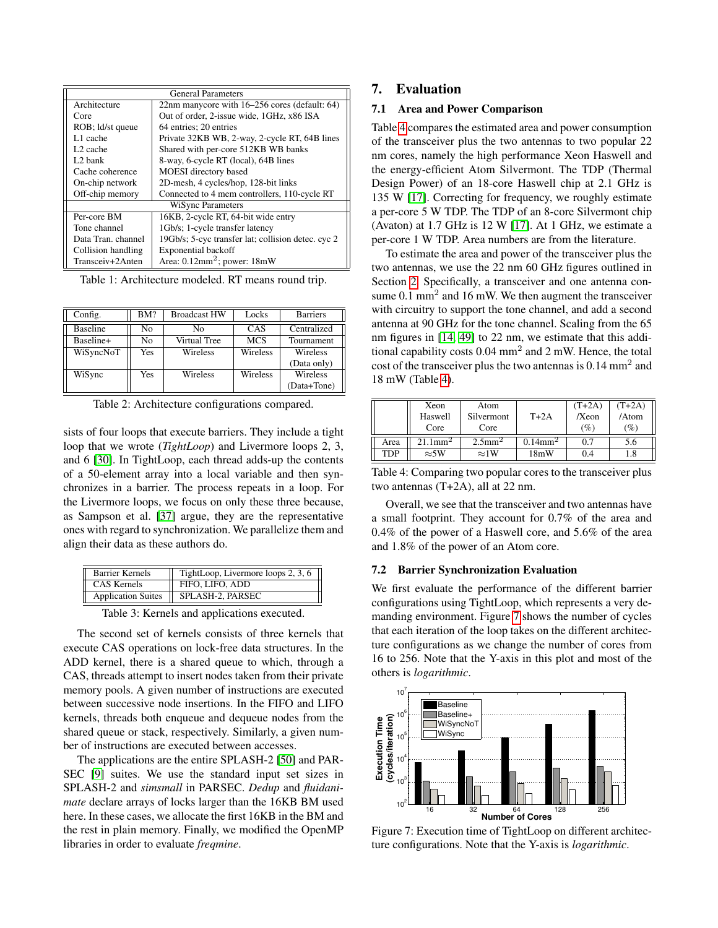| <b>General Parameters</b> |                                                    |  |  |  |  |
|---------------------------|----------------------------------------------------|--|--|--|--|
| Architecture              | 22nm manycore with 16–256 cores (default: 64)      |  |  |  |  |
| Core                      | Out of order, 2-issue wide, 1GHz, x86 ISA          |  |  |  |  |
| ROB; ld/st queue          | 64 entries: 20 entries                             |  |  |  |  |
| L1 cache                  | Private 32KB WB, 2-way, 2-cycle RT, 64B lines      |  |  |  |  |
| L <sub>2</sub> cache      | Shared with per-core 512KB WB banks                |  |  |  |  |
| L <sub>2</sub> bank       | 8-way, 6-cycle RT (local), 64B lines               |  |  |  |  |
| Cache coherence           | MOESI directory based                              |  |  |  |  |
| On-chip network           | 2D-mesh, 4 cycles/hop, 128-bit links               |  |  |  |  |
| Off-chip memory           | Connected to 4 mem controllers, 110-cycle RT       |  |  |  |  |
| <b>WiSync Parameters</b>  |                                                    |  |  |  |  |
| Per-core BM               | 16KB, 2-cycle RT, 64-bit wide entry                |  |  |  |  |
| Tone channel              | 1Gb/s; 1-cycle transfer latency                    |  |  |  |  |
| Data Tran. channel        | 19Gb/s; 5-cyc transfer lat; collision detec. cyc 2 |  |  |  |  |
| Collision handling        | Exponential backoff                                |  |  |  |  |
| Transceiv+2Anten          | Area: 0.12mm <sup>2</sup> ; power: 18mW            |  |  |  |  |

<span id="page-8-0"></span>Table 1: Architecture modeled. RT means round trip.

| Config.         | BM? | <b>Broadcast HW</b> | Locks      | <b>Barriers</b> |
|-----------------|-----|---------------------|------------|-----------------|
| <b>Baseline</b> | No  | No                  | CAS        | Centralized     |
| Baseline+       | No  | Virtual Tree        | <b>MCS</b> | Tournament      |
| WiSyncNoT       | Yes | Wireless            | Wireless   | Wireless        |
|                 |     |                     |            | (Data only)     |
| WiSync          | Yes | Wireless            | Wireless   | Wireless        |
|                 |     |                     |            | (Data+Tone)     |

<span id="page-8-1"></span>Table 2: Architecture configurations compared.

sists of four loops that execute barriers. They include a tight loop that we wrote (*TightLoop*) and Livermore loops 2, 3, and 6 [\[30\]](#page-13-24). In TightLoop, each thread adds-up the contents of a 50-element array into a local variable and then synchronizes in a barrier. The process repeats in a loop. For the Livermore loops, we focus on only these three because, as Sampson et al. [\[37\]](#page-13-2) argue, they are the representative ones with regard to synchronization. We parallelize them and align their data as these authors do.

| <b>Barrier Kernels</b>    | TightLoop, Livermore loops 2, 3, 6 |
|---------------------------|------------------------------------|
| CAS Kernels               | FIFO, LIFO, ADD                    |
| <b>Application Suites</b> | SPLASH-2, PARSEC                   |

Table 3: Kernels and applications executed.

The second set of kernels consists of three kernels that execute CAS operations on lock-free data structures. In the ADD kernel, there is a shared queue to which, through a CAS, threads attempt to insert nodes taken from their private memory pools. A given number of instructions are executed between successive node insertions. In the FIFO and LIFO kernels, threads both enqueue and dequeue nodes from the shared queue or stack, respectively. Similarly, a given number of instructions are executed between accesses.

The applications are the entire SPLASH-2 [\[50\]](#page-13-25) and PAR-SEC [\[9\]](#page-12-23) suites. We use the standard input set sizes in SPLASH-2 and *simsmall* in PARSEC. *Dedup* and *fluidanimate* declare arrays of locks larger than the 16KB BM used here. In these cases, we allocate the first 16KB in the BM and the rest in plain memory. Finally, we modified the OpenMP libraries in order to evaluate *freqmine*.

# 7. Evaluation

# 7.1 Area and Power Comparison

Table [4](#page-8-3) compares the estimated area and power consumption of the transceiver plus the two antennas to two popular 22 nm cores, namely the high performance Xeon Haswell and the energy-efficient Atom Silvermont. The TDP (Thermal Design Power) of an 18-core Haswell chip at 2.1 GHz is 135 W [\[17\]](#page-12-24). Correcting for frequency, we roughly estimate a per-core 5 W TDP. The TDP of an 8-core Silvermont chip (Avaton) at 1.7 GHz is 12 W [\[17\]](#page-12-24). At 1 GHz, we estimate a per-core 1 W TDP. Area numbers are from the literature.

To estimate the area and power of the transceiver plus the two antennas, we use the 22 nm 60 GHz figures outlined in Section [2.](#page-1-0) Specifically, a transceiver and one antenna consume  $0.1 \text{ mm}^2$  and  $16 \text{ mW}$ . We then augment the transceiver with circuitry to support the tone channel, and add a second antenna at 90 GHz for the tone channel. Scaling from the 65 nm figures in [\[14,](#page-12-8) [49\]](#page-13-4) to 22 nm, we estimate that this additional capability costs  $0.04$  mm<sup>2</sup> and 2 mW. Hence, the total cost of the transceiver plus the two antennas is  $0.14 \text{ mm}^2$  and 18 mW (Table [4\)](#page-8-3).

|      | Xeon<br>Haswell<br>Core | Atom<br>Silvermont<br>Core | $T+2A$                 | $(T+2A)$<br>/Xeon<br>(%) | $(T+2A)$<br>/Atom<br>(%) |
|------|-------------------------|----------------------------|------------------------|--------------------------|--------------------------|
| Area | $21.1$ mm <sup>2</sup>  | $2.5$ mm <sup>2</sup>      | $0.14$ mm <sup>2</sup> | 0.7                      | 5.6                      |
| TDP  | $\approx 5W$            | $\approx$ 1W               | 18mW                   | 0.4                      | 1.8                      |

<span id="page-8-3"></span>Table 4: Comparing two popular cores to the transceiver plus two antennas (T+2A), all at 22 nm.

Overall, we see that the transceiver and two antennas have a small footprint. They account for 0.7% of the area and 0.4% of the power of a Haswell core, and 5.6% of the area and 1.8% of the power of an Atom core.

#### 7.2 Barrier Synchronization Evaluation

<span id="page-8-2"></span>We first evaluate the performance of the different barrier configurations using TightLoop, which represents a very demanding environment. Figure [7](#page-8-4) shows the number of cycles that each iteration of the loop takes on the different architecture configurations as we change the number of cores from 16 to 256. Note that the Y-axis in this plot and most of the others is *logarithmic*.



<span id="page-8-4"></span>Figure 7: Execution time of TightLoop on different architecture configurations. Note that the Y-axis is *logarithmic*.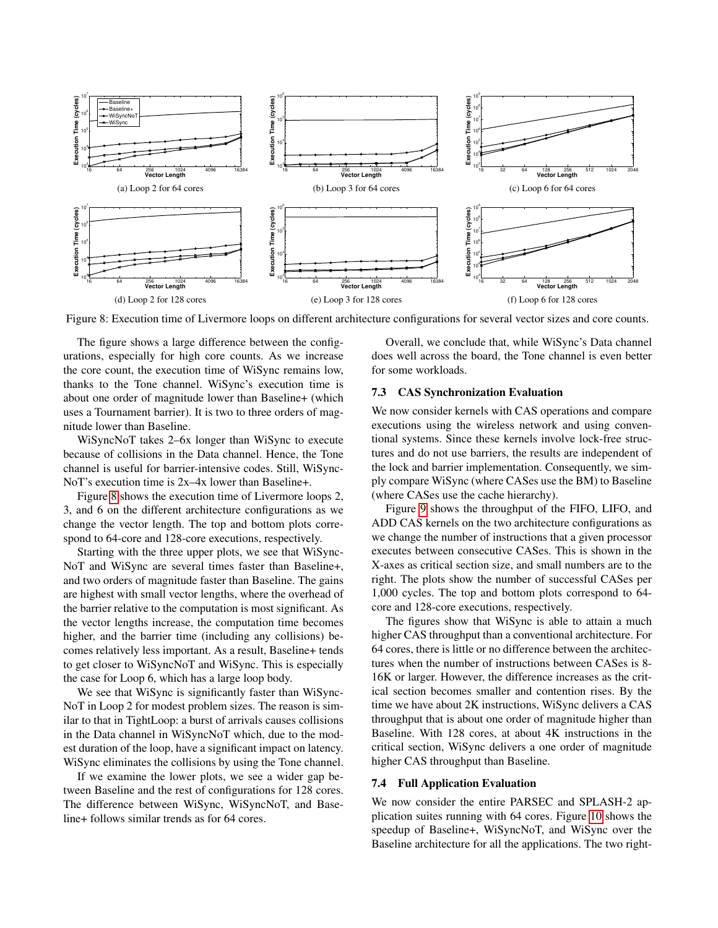

<span id="page-9-0"></span>Figure 8: Execution time of Livermore loops on different architecture configurations for several vector sizes and core counts.

The figure shows a large difference between the configurations, especially for high core counts. As we increase the core count, the execution time of WiSync remains low, thanks to the Tone channel. WiSync's execution time is about one order of magnitude lower than Baseline+ (which uses a Tournament barrier). It is two to three orders of magnitude lower than Baseline.

WiSyncNoT takes 2–6x longer than WiSync to execute because of collisions in the Data channel. Hence, the Tone channel is useful for barrier-intensive codes. Still, WiSync-NoT's execution time is 2x–4x lower than Baseline+.

Figure [8](#page-9-0) shows the execution time of Livermore loops 2, 3, and 6 on the different architecture configurations as we change the vector length. The top and bottom plots correspond to 64-core and 128-core executions, respectively.

Starting with the three upper plots, we see that WiSync-NoT and WiSync are several times faster than Baseline+, and two orders of magnitude faster than Baseline. The gains are highest with small vector lengths, where the overhead of the barrier relative to the computation is most significant. As the vector lengths increase, the computation time becomes higher, and the barrier time (including any collisions) becomes relatively less important. As a result, Baseline+ tends to get closer to WiSyncNoT and WiSync. This is especially the case for Loop 6, which has a large loop body.

We see that WiSync is significantly faster than WiSync-NoT in Loop 2 for modest problem sizes. The reason is similar to that in TightLoop: a burst of arrivals causes collisions in the Data channel in WiSyncNoT which, due to the modest duration of the loop, have a significant impact on latency. WiSync eliminates the collisions by using the Tone channel.

If we examine the lower plots, we see a wider gap between Baseline and the rest of configurations for 128 cores. The difference between WiSync, WiSyncNoT, and Baseline+ follows similar trends as for 64 cores.

Overall, we conclude that, while WiSync's Data channel does well across the board, the Tone channel is even better for some workloads.

#### 7.3 CAS Synchronization Evaluation

We now consider kernels with CAS operations and compare executions using the wireless network and using conventional systems. Since these kernels involve lock-free structures and do not use barriers, the results are independent of the lock and barrier implementation. Consequently, we simply compare WiSync (where CASes use the BM) to Baseline (where CASes use the cache hierarchy).

Figure [9](#page-10-0) shows the throughput of the FIFO, LIFO, and ADD CAS kernels on the two architecture configurations as we change the number of instructions that a given processor executes between consecutive CASes. This is shown in the X-axes as critical section size, and small numbers are to the right. The plots show the number of successful CASes per 1,000 cycles. The top and bottom plots correspond to 64 core and 128-core executions, respectively.

The figures show that WiSync is able to attain a much higher CAS throughput than a conventional architecture. For 64 cores, there is little or no difference between the architectures when the number of instructions between CASes is 8- 16K or larger. However, the difference increases as the critical section becomes smaller and contention rises. By the time we have about 2K instructions, WiSync delivers a CAS throughput that is about one order of magnitude higher than Baseline. With 128 cores, at about 4K instructions in the critical section, WiSync delivers a one order of magnitude higher CAS throughput than Baseline.

## 7.4 Full Application Evaluation

We now consider the entire PARSEC and SPLASH-2 application suites running with 64 cores. Figure [10](#page-10-1) shows the speedup of Baseline+, WiSyncNoT, and WiSync over the Baseline architecture for all the applications. The two right-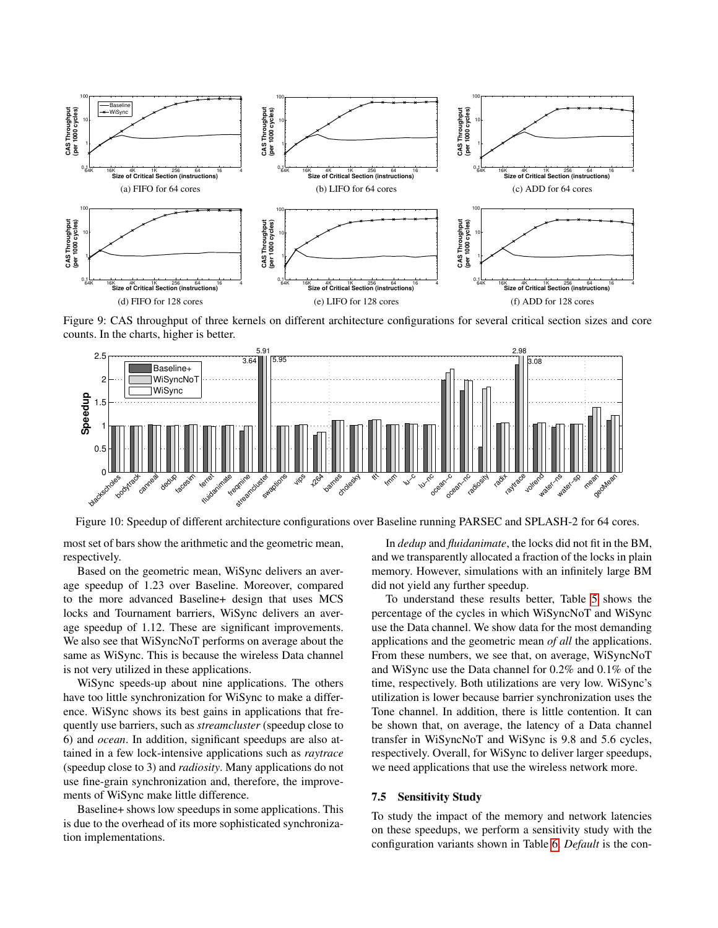

<span id="page-10-0"></span>Figure 9: CAS throughput of three kernels on different architecture configurations for several critical section sizes and core counts. In the charts, higher is better.



Figure 10: Speedup of different architecture configurations over Baseline running PARSEC and SPLASH-2 for 64 cores.

most set of bars show the arithmetic and the geometric mean, respectively.

Based on the geometric mean, WiSync delivers an average speedup of 1.23 over Baseline. Moreover, compared to the more advanced Baseline+ design that uses MCS locks and Tournament barriers, WiSync delivers an average speedup of 1.12. These are significant improvements. We also see that WiSyncNoT performs on average about the same as WiSync. This is because the wireless Data channel is not very utilized in these applications.

WiSync speeds-up about nine applications. The others have too little synchronization for WiSync to make a difference. WiSync shows its best gains in applications that frequently use barriers, such as *streamcluster* (speedup close to 6) and *ocean*. In addition, significant speedups are also attained in a few lock-intensive applications such as *raytrace* (speedup close to 3) and *radiosity*. Many applications do not use fine-grain synchronization and, therefore, the improvements of WiSync make little difference.

Baseline+ shows low speedups in some applications. This is due to the overhead of its more sophisticated synchronization implementations.

<span id="page-10-1"></span>In *dedup* and *fluidanimate*, the locks did not fit in the BM, and we transparently allocated a fraction of the locks in plain memory. However, simulations with an infinitely large BM did not yield any further speedup.

To understand these results better, Table [5](#page-11-1) shows the percentage of the cycles in which WiSyncNoT and WiSync use the Data channel. We show data for the most demanding applications and the geometric mean *of all* the applications. From these numbers, we see that, on average, WiSyncNoT and WiSync use the Data channel for 0.2% and 0.1% of the time, respectively. Both utilizations are very low. WiSync's utilization is lower because barrier synchronization uses the Tone channel. In addition, there is little contention. It can be shown that, on average, the latency of a Data channel transfer in WiSyncNoT and WiSync is 9.8 and 5.6 cycles, respectively. Overall, for WiSync to deliver larger speedups, we need applications that use the wireless network more.

#### 7.5 Sensitivity Study

To study the impact of the memory and network latencies on these speedups, we perform a sensitivity study with the configuration variants shown in Table [6.](#page-11-2) *Default* is the con-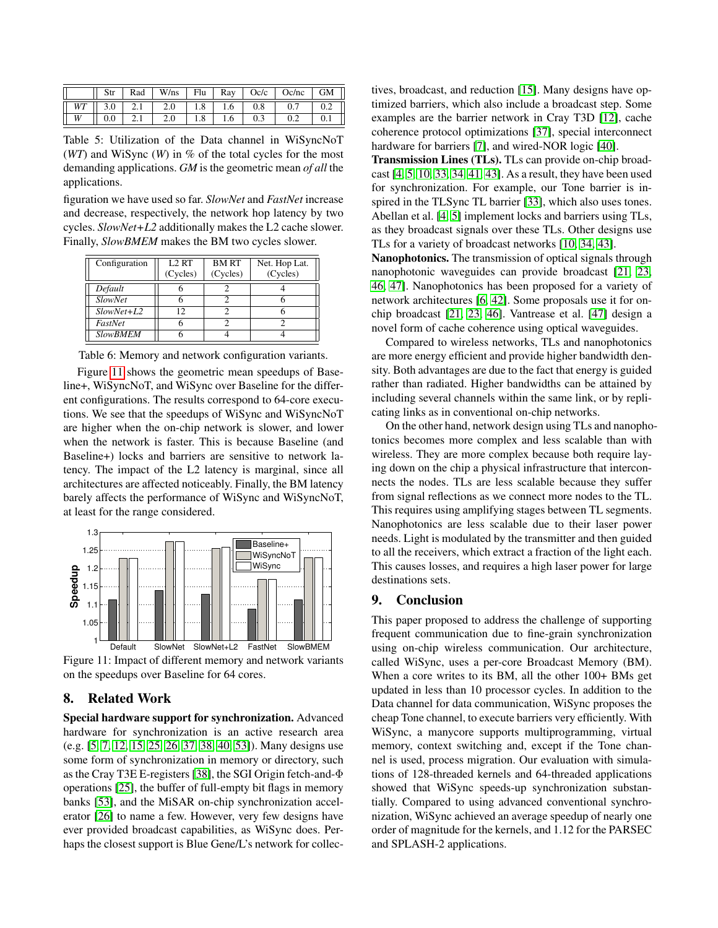|   |  |                                                                                          |     |     | Rad   W/ns   Flu   Ray   Oc/c   Oc/nc   GM |  |
|---|--|------------------------------------------------------------------------------------------|-----|-----|--------------------------------------------|--|
|   |  | $WT \parallel 3.0 \parallel 2.1 \parallel 2.0 \parallel 1.8 \parallel 1.6 \parallel 0.8$ |     |     | $0.7 \quad  $                              |  |
| W |  |                                                                                          | 1.6 | 0.3 |                                            |  |

<span id="page-11-1"></span>Table 5: Utilization of the Data channel in WiSyncNoT (*WT*) and WiSync (*W*) in % of the total cycles for the most demanding applications. *GM* is the geometric mean *of all* the applications.

figuration we have used so far. *SlowNet* and *FastNet* increase and decrease, respectively, the network hop latency by two cycles. *SlowNet+L2* additionally makes the L2 cache slower. Finally, *SlowBMEM* makes the BM two cycles slower.

| Configuration   | <b>L2 RT</b> | <b>BMRT</b> | Net. Hop Lat. |
|-----------------|--------------|-------------|---------------|
|                 | (Cycles)     | (Cycles)    | (Cycles)      |
| Default         |              |             |               |
| <b>SlowNet</b>  |              |             |               |
| $SlowNet+L2$    | 12           |             |               |
| FastNet         |              |             |               |
| <b>SlowBMEM</b> |              |             |               |

Table 6: Memory and network configuration variants.

Figure [11](#page-11-3) shows the geometric mean speedups of Baseline+, WiSyncNoT, and WiSync over Baseline for the different configurations. The results correspond to 64-core executions. We see that the speedups of WiSync and WiSyncNoT are higher when the on-chip network is slower, and lower when the network is faster. This is because Baseline (and Baseline+) locks and barriers are sensitive to network latency. The impact of the L2 latency is marginal, since all architectures are affected noticeably. Finally, the BM latency barely affects the performance of WiSync and WiSyncNoT, at least for the range considered.



<span id="page-11-3"></span>Figure 11: Impact of different memory and network variants on the speedups over Baseline for 64 cores.

# <span id="page-11-0"></span>8. Related Work

Special hardware support for synchronization. Advanced hardware for synchronization is an active research area (e.g. [\[5,](#page-12-3) [7,](#page-12-4) [12,](#page-12-0) [15,](#page-12-1) [25,](#page-12-2) [26,](#page-13-1) [37,](#page-13-2) [38,](#page-13-0) [40,](#page-13-3) [53\]](#page-14-0)). Many designs use some form of synchronization in memory or directory, such as the Cray T3E E-registers [\[38\]](#page-13-0), the SGI Origin fetch-and-Φ operations [\[25\]](#page-12-2), the buffer of full-empty bit flags in memory banks [\[53\]](#page-14-0), and the MiSAR on-chip synchronization accelerator [\[26\]](#page-13-1) to name a few. However, very few designs have ever provided broadcast capabilities, as WiSync does. Perhaps the closest support is Blue Gene/L's network for collectives, broadcast, and reduction [\[15\]](#page-12-1). Many designs have optimized barriers, which also include a broadcast step. Some examples are the barrier network in Cray T3D [\[12\]](#page-12-0), cache coherence protocol optimizations [\[37\]](#page-13-2), special interconnect hardware for barriers [\[7\]](#page-12-4), and wired-NOR logic [\[40\]](#page-13-3).

Transmission Lines (TLs). TLs can provide on-chip broadcast [\[4,](#page-12-16) [5,](#page-12-3) [10,](#page-12-17) [33,](#page-13-10) [34,](#page-13-13) [41,](#page-13-14) [43\]](#page-13-15). As a result, they have been used for synchronization. For example, our Tone barrier is inspired in the TLSync TL barrier [\[33\]](#page-13-10), which also uses tones. Abellan et al. [\[4,](#page-12-16) [5\]](#page-12-3) implement locks and barriers using TLs, as they broadcast signals over these TLs. Other designs use TLs for a variety of broadcast networks [\[10,](#page-12-17) [34,](#page-13-13) [43\]](#page-13-15).

<span id="page-11-2"></span>Nanophotonics. The transmission of optical signals through nanophotonic waveguides can provide broadcast [\[21,](#page-12-19) [23,](#page-12-20) [46,](#page-13-17) [47\]](#page-13-18). Nanophotonics has been proposed for a variety of network architectures [\[6,](#page-12-18) [42\]](#page-13-16). Some proposals use it for onchip broadcast [\[21,](#page-12-19) [23,](#page-12-20) [46\]](#page-13-17). Vantrease et al. [\[47\]](#page-13-18) design a novel form of cache coherence using optical waveguides.

Compared to wireless networks, TLs and nanophotonics are more energy efficient and provide higher bandwidth density. Both advantages are due to the fact that energy is guided rather than radiated. Higher bandwidths can be attained by including several channels within the same link, or by replicating links as in conventional on-chip networks.

On the other hand, network design using TLs and nanophotonics becomes more complex and less scalable than with wireless. They are more complex because both require laying down on the chip a physical infrastructure that interconnects the nodes. TLs are less scalable because they suffer from signal reflections as we connect more nodes to the TL. This requires using amplifying stages between TL segments. Nanophotonics are less scalable due to their laser power needs. Light is modulated by the transmitter and then guided to all the receivers, which extract a fraction of the light each. This causes losses, and requires a high laser power for large destinations sets.

# 9. Conclusion

This paper proposed to address the challenge of supporting frequent communication due to fine-grain synchronization using on-chip wireless communication. Our architecture, called WiSync, uses a per-core Broadcast Memory (BM). When a core writes to its BM, all the other  $100+$  BMs get updated in less than 10 processor cycles. In addition to the Data channel for data communication, WiSync proposes the cheap Tone channel, to execute barriers very efficiently. With WiSync, a manycore supports multiprogramming, virtual memory, context switching and, except if the Tone channel is used, process migration. Our evaluation with simulations of 128-threaded kernels and 64-threaded applications showed that WiSync speeds-up synchronization substantially. Compared to using advanced conventional synchronization, WiSync achieved an average speedup of nearly one order of magnitude for the kernels, and 1.12 for the PARSEC and SPLASH-2 applications.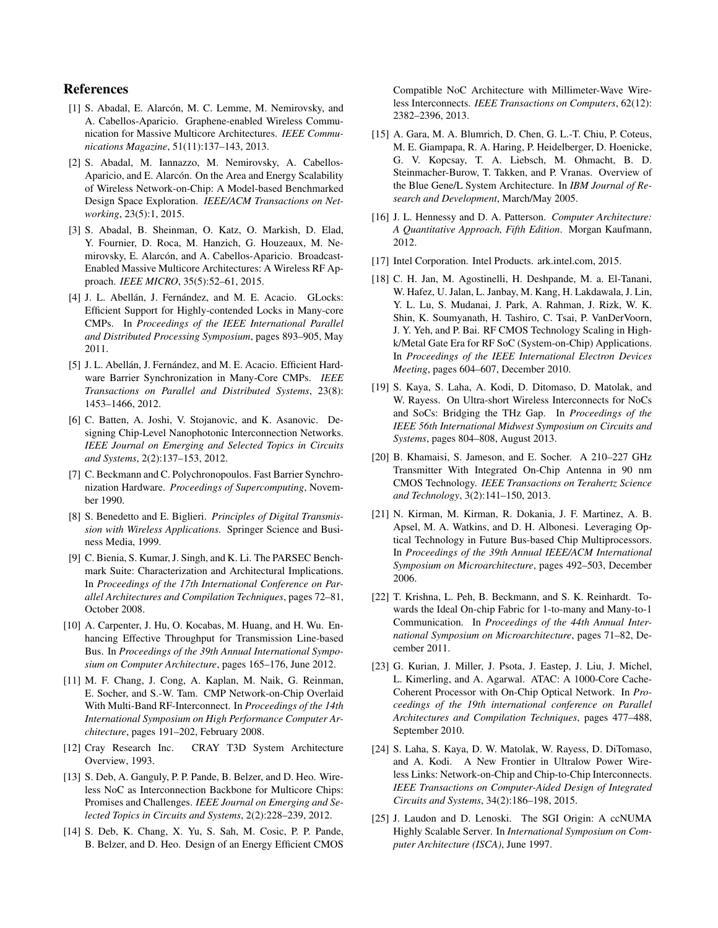# References

- <span id="page-12-5"></span>[1] S. Abadal, E. Alarcón, M. C. Lemme, M. Nemirovsky, and A. Cabellos-Aparicio. Graphene-enabled Wireless Communication for Massive Multicore Architectures. *IEEE Communications Magazine*, 51(11):137–143, 2013.
- <span id="page-12-10"></span>[2] S. Abadal, M. Iannazzo, M. Nemirovsky, A. Cabellos-Aparicio, and E. Alarcón. On the Area and Energy Scalability of Wireless Network-on-Chip: A Model-based Benchmarked Design Space Exploration. *IEEE/ACM Transactions on Networking*, 23(5):1, 2015.
- <span id="page-12-6"></span>[3] S. Abadal, B. Sheinman, O. Katz, O. Markish, D. Elad, Y. Fournier, D. Roca, M. Hanzich, G. Houzeaux, M. Nemirovsky, E. Alarcón, and A. Cabellos-Aparicio. Broadcast-Enabled Massive Multicore Architectures: A Wireless RF Approach. *IEEE MICRO*, 35(5):52–61, 2015.
- <span id="page-12-16"></span>[4] J. L. Abellán, J. Fernández, and M. E. Acacio. GLocks: Efficient Support for Highly-contended Locks in Many-core CMPs. In *Proceedings of the IEEE International Parallel and Distributed Processing Symposium*, pages 893–905, May 2011.
- <span id="page-12-3"></span>[5] J. L. Abellán, J. Fernández, and M. E. Acacio. Efficient Hardware Barrier Synchronization in Many-Core CMPs. *IEEE Transactions on Parallel and Distributed Systems*, 23(8): 1453–1466, 2012.
- <span id="page-12-18"></span>[6] C. Batten, A. Joshi, V. Stojanovic, and K. Asanovic. Designing Chip-Level Nanophotonic Interconnection Networks. *IEEE Journal on Emerging and Selected Topics in Circuits and Systems*, 2(2):137–153, 2012.
- <span id="page-12-4"></span>[7] C. Beckmann and C. Polychronopoulos. Fast Barrier Synchronization Hardware. *Proceedings of Supercomputing*, November 1990.
- <span id="page-12-14"></span>[8] S. Benedetto and E. Biglieri. *Principles of Digital Transmission with Wireless Applications*. Springer Science and Business Media, 1999.
- <span id="page-12-23"></span>[9] C. Bienia, S. Kumar, J. Singh, and K. Li. The PARSEC Benchmark Suite: Characterization and Architectural Implications. In *Proceedings of the 17th International Conference on Parallel Architectures and Compilation Techniques*, pages 72–81, October 2008.
- <span id="page-12-17"></span>[10] A. Carpenter, J. Hu, O. Kocabas, M. Huang, and H. Wu. Enhancing Effective Throughput for Transmission Line-based Bus. In *Proceedings of the 39th Annual International Symposium on Computer Architecture*, pages 165–176, June 2012.
- <span id="page-12-9"></span>[11] M. F. Chang, J. Cong, A. Kaplan, M. Naik, G. Reinman, E. Socher, and S.-W. Tam. CMP Network-on-Chip Overlaid With Multi-Band RF-Interconnect. In *Proceedings of the 14th International Symposium on High Performance Computer Architecture*, pages 191–202, February 2008.
- <span id="page-12-0"></span>[12] Cray Research Inc. CRAY T3D System Architecture Overview, 1993.
- <span id="page-12-7"></span>[13] S. Deb, A. Ganguly, P. P. Pande, B. Belzer, and D. Heo. Wireless NoC as Interconnection Backbone for Multicore Chips: Promises and Challenges. *IEEE Journal on Emerging and Selected Topics in Circuits and Systems*, 2(2):228–239, 2012.
- <span id="page-12-8"></span>[14] S. Deb, K. Chang, X. Yu, S. Sah, M. Cosic, P. P. Pande, B. Belzer, and D. Heo. Design of an Energy Efficient CMOS

Compatible NoC Architecture with Millimeter-Wave Wireless Interconnects. *IEEE Transactions on Computers*, 62(12): 2382–2396, 2013.

- <span id="page-12-1"></span>[15] A. Gara, M. A. Blumrich, D. Chen, G. L.-T. Chiu, P. Coteus, M. E. Giampapa, R. A. Haring, P. Heidelberger, D. Hoenicke, G. V. Kopcsay, T. A. Liebsch, M. Ohmacht, B. D. Steinmacher-Burow, T. Takken, and P. Vranas. Overview of the Blue Gene/L System Architecture. In *IBM Journal of Research and Development*, March/May 2005.
- <span id="page-12-21"></span>[16] J. L. Hennessy and D. A. Patterson. *Computer Architecture: A Quantitative Approach, Fifth Edition*. Morgan Kaufmann, 2012.
- <span id="page-12-24"></span>[17] Intel Corporation. Intel Products. ark.intel.com, 2015.
- <span id="page-12-12"></span>[18] C. H. Jan, M. Agostinelli, H. Deshpande, M. a. El-Tanani, W. Hafez, U. Jalan, L. Janbay, M. Kang, H. Lakdawala, J. Lin, Y. L. Lu, S. Mudanai, J. Park, A. Rahman, J. Rizk, W. K. Shin, K. Soumyanath, H. Tashiro, C. Tsai, P. VanDerVoorn, J. Y. Yeh, and P. Bai. RF CMOS Technology Scaling in Highk/Metal Gate Era for RF SoC (System-on-Chip) Applications. In *Proceedings of the IEEE International Electron Devices Meeting*, pages 604–607, December 2010.
- <span id="page-12-11"></span>[19] S. Kaya, S. Laha, A. Kodi, D. Ditomaso, D. Matolak, and W. Rayess. On Ultra-short Wireless Interconnects for NoCs and SoCs: Bridging the THz Gap. In *Proceedings of the IEEE 56th International Midwest Symposium on Circuits and Systems*, pages 804–808, August 2013.
- <span id="page-12-15"></span>[20] B. Khamaisi, S. Jameson, and E. Socher. A 210–227 GHz Transmitter With Integrated On-Chip Antenna in 90 nm CMOS Technology. *IEEE Transactions on Terahertz Science and Technology*, 3(2):141–150, 2013.
- <span id="page-12-19"></span>[21] N. Kirman, M. Kirman, R. Dokania, J. F. Martinez, A. B. Apsel, M. A. Watkins, and D. H. Albonesi. Leveraging Optical Technology in Future Bus-based Chip Multiprocessors. In *Proceedings of the 39th Annual IEEE/ACM International Symposium on Microarchitecture*, pages 492–503, December 2006.
- <span id="page-12-22"></span>[22] T. Krishna, L. Peh, B. Beckmann, and S. K. Reinhardt. Towards the Ideal On-chip Fabric for 1-to-many and Many-to-1 Communication. In *Proceedings of the 44th Annual International Symposium on Microarchitecture*, pages 71–82, December 2011.
- <span id="page-12-20"></span>[23] G. Kurian, J. Miller, J. Psota, J. Eastep, J. Liu, J. Michel, L. Kimerling, and A. Agarwal. ATAC: A 1000-Core Cache-Coherent Processor with On-Chip Optical Network. In *Proceedings of the 19th international conference on Parallel Architectures and Compilation Techniques*, pages 477–488, September 2010.
- <span id="page-12-13"></span>[24] S. Laha, S. Kaya, D. W. Matolak, W. Rayess, D. DiTomaso, and A. Kodi. A New Frontier in Ultralow Power Wireless Links: Network-on-Chip and Chip-to-Chip Interconnects. *IEEE Transactions on Computer-Aided Design of Integrated Circuits and Systems*, 34(2):186–198, 2015.
- <span id="page-12-2"></span>[25] J. Laudon and D. Lenoski. The SGI Origin: A ccNUMA Highly Scalable Server. In *International Symposium on Computer Architecture (ISCA)*, June 1997.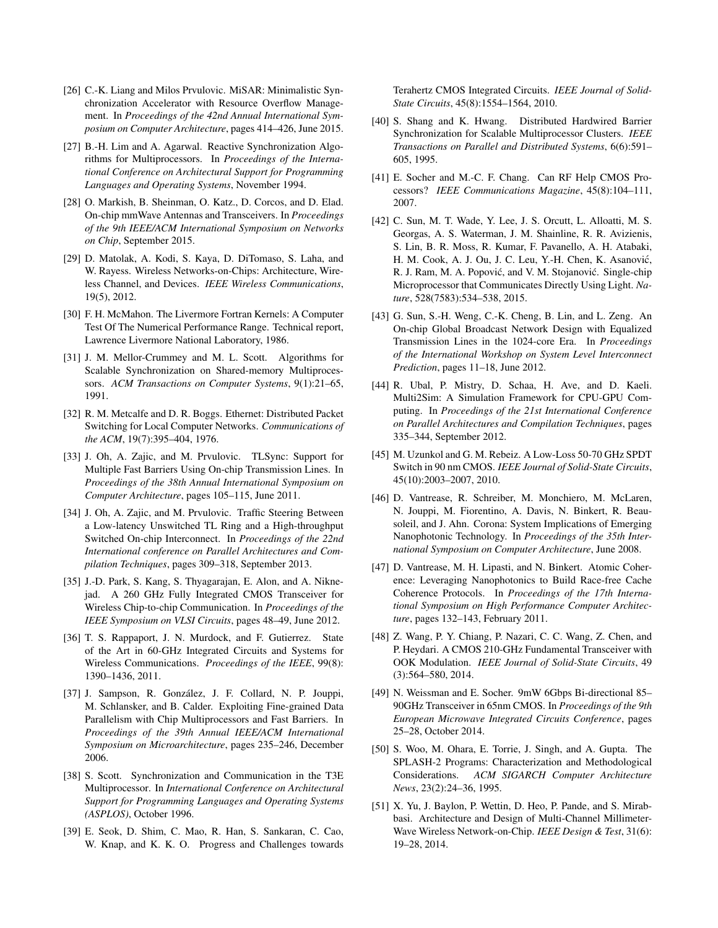- <span id="page-13-1"></span>[26] C.-K. Liang and Milos Prvulovic. MiSAR: Minimalistic Synchronization Accelerator with Resource Overflow Management. In *Proceedings of the 42nd Annual International Symposium on Computer Architecture*, pages 414–426, June 2015.
- <span id="page-13-20"></span>[27] B.-H. Lim and A. Agarwal. Reactive Synchronization Algorithms for Multiprocessors. In *Proceedings of the International Conference on Architectural Support for Programming Languages and Operating Systems*, November 1994.
- <span id="page-13-6"></span>[28] O. Markish, B. Sheinman, O. Katz., D. Corcos, and D. Elad. On-chip mmWave Antennas and Transceivers. In *Proceedings of the 9th IEEE/ACM International Symposium on Networks on Chip*, September 2015.
- <span id="page-13-7"></span>[29] D. Matolak, A. Kodi, S. Kaya, D. DiTomaso, S. Laha, and W. Rayess. Wireless Networks-on-Chips: Architecture, Wireless Channel, and Devices. *IEEE Wireless Communications*, 19(5), 2012.
- <span id="page-13-24"></span>[30] F. H. McMahon. The Livermore Fortran Kernels: A Computer Test Of The Numerical Performance Range. Technical report, Lawrence Livermore National Laboratory, 1986.
- <span id="page-13-21"></span>[31] J. M. Mellor-Crummey and M. L. Scott. Algorithms for Scalable Synchronization on Shared-memory Multiprocessors. *ACM Transactions on Computer Systems*, 9(1):21–65, 1991.
- <span id="page-13-22"></span>[32] R. M. Metcalfe and D. R. Boggs. Ethernet: Distributed Packet Switching for Local Computer Networks. *Communications of the ACM*, 19(7):395–404, 1976.
- <span id="page-13-10"></span>[33] J. Oh, A. Zajic, and M. Prvulovic. TLSync: Support for Multiple Fast Barriers Using On-chip Transmission Lines. In *Proceedings of the 38th Annual International Symposium on Computer Architecture*, pages 105–115, June 2011.
- <span id="page-13-13"></span>[34] J. Oh, A. Zajic, and M. Prvulovic. Traffic Steering Between a Low-latency Unswitched TL Ring and a High-throughput Switched On-chip Interconnect. In *Proceedings of the 22nd International conference on Parallel Architectures and Compilation Techniques*, pages 309–318, September 2013.
- <span id="page-13-11"></span>[35] J.-D. Park, S. Kang, S. Thyagarajan, E. Alon, and A. Niknejad. A 260 GHz Fully Integrated CMOS Transceiver for Wireless Chip-to-chip Communication. In *Proceedings of the IEEE Symposium on VLSI Circuits*, pages 48–49, June 2012.
- <span id="page-13-8"></span>[36] T. S. Rappaport, J. N. Murdock, and F. Gutierrez. State of the Art in 60-GHz Integrated Circuits and Systems for Wireless Communications. *Proceedings of the IEEE*, 99(8): 1390–1436, 2011.
- <span id="page-13-2"></span>[37] J. Sampson, R. González, J. F. Collard, N. P. Jouppi, M. Schlansker, and B. Calder. Exploiting Fine-grained Data Parallelism with Chip Multiprocessors and Fast Barriers. In *Proceedings of the 39th Annual IEEE/ACM International Symposium on Microarchitecture*, pages 235–246, December 2006.
- <span id="page-13-0"></span>[38] S. Scott. Synchronization and Communication in the T3E Multiprocessor. In *International Conference on Architectural Support for Programming Languages and Operating Systems (ASPLOS)*, October 1996.
- <span id="page-13-9"></span>[39] E. Seok, D. Shim, C. Mao, R. Han, S. Sankaran, C. Cao, W. Knap, and K. K. O. Progress and Challenges towards

Terahertz CMOS Integrated Circuits. *IEEE Journal of Solid-State Circuits*, 45(8):1554–1564, 2010.

- <span id="page-13-3"></span>[40] S. Shang and K. Hwang. Distributed Hardwired Barrier Synchronization for Scalable Multiprocessor Clusters. *IEEE Transactions on Parallel and Distributed Systems*, 6(6):591– 605, 1995.
- <span id="page-13-14"></span>[41] E. Socher and M.-C. F. Chang. Can RF Help CMOS Processors? *IEEE Communications Magazine*, 45(8):104–111, 2007.
- <span id="page-13-16"></span>[42] C. Sun, M. T. Wade, Y. Lee, J. S. Orcutt, L. Alloatti, M. S. Georgas, A. S. Waterman, J. M. Shainline, R. R. Avizienis, S. Lin, B. R. Moss, R. Kumar, F. Pavanello, A. H. Atabaki, H. M. Cook, A. J. Ou, J. C. Leu, Y.-H. Chen, K. Asanović, R. J. Ram, M. A. Popović, and V. M. Stojanović. Single-chip Microprocessor that Communicates Directly Using Light. *Nature*, 528(7583):534–538, 2015.
- <span id="page-13-15"></span>[43] G. Sun, S.-H. Weng, C.-K. Cheng, B. Lin, and L. Zeng. An On-chip Global Broadcast Network Design with Equalized Transmission Lines in the 1024-core Era. In *Proceedings of the International Workshop on System Level Interconnect Prediction*, pages 11–18, June 2012.
- <span id="page-13-23"></span>[44] R. Ubal, P. Mistry, D. Schaa, H. Ave, and D. Kaeli. Multi2Sim: A Simulation Framework for CPU-GPU Computing. In *Proceedings of the 21st International Conference on Parallel Architectures and Compilation Techniques*, pages 335–344, September 2012.
- <span id="page-13-19"></span>[45] M. Uzunkol and G. M. Rebeiz. A Low-Loss 50-70 GHz SPDT Switch in 90 nm CMOS. *IEEE Journal of Solid-State Circuits*, 45(10):2003–2007, 2010.
- <span id="page-13-17"></span>[46] D. Vantrease, R. Schreiber, M. Monchiero, M. McLaren, N. Jouppi, M. Fiorentino, A. Davis, N. Binkert, R. Beausoleil, and J. Ahn. Corona: System Implications of Emerging Nanophotonic Technology. In *Proceedings of the 35th International Symposium on Computer Architecture*, June 2008.
- <span id="page-13-18"></span>[47] D. Vantrease, M. H. Lipasti, and N. Binkert. Atomic Coherence: Leveraging Nanophotonics to Build Race-free Cache Coherence Protocols. In *Proceedings of the 17th International Symposium on High Performance Computer Architecture*, pages 132–143, February 2011.
- <span id="page-13-12"></span>[48] Z. Wang, P. Y. Chiang, P. Nazari, C. C. Wang, Z. Chen, and P. Heydari. A CMOS 210-GHz Fundamental Transceiver with OOK Modulation. *IEEE Journal of Solid-State Circuits*, 49 (3):564–580, 2014.
- <span id="page-13-4"></span>[49] N. Weissman and E. Socher. 9mW 6Gbps Bi-directional 85– 90GHz Transceiver in 65nm CMOS. In *Proceedings of the 9th European Microwave Integrated Circuits Conference*, pages 25–28, October 2014.
- <span id="page-13-25"></span>[50] S. Woo, M. Ohara, E. Torrie, J. Singh, and A. Gupta. The SPLASH-2 Programs: Characterization and Methodological Considerations. *ACM SIGARCH Computer Architecture News*, 23(2):24–36, 1995.
- <span id="page-13-5"></span>[51] X. Yu, J. Baylon, P. Wettin, D. Heo, P. Pande, and S. Mirabbasi. Architecture and Design of Multi-Channel Millimeter-Wave Wireless Network-on-Chip. *IEEE Design & Test*, 31(6): 19–28, 2014.